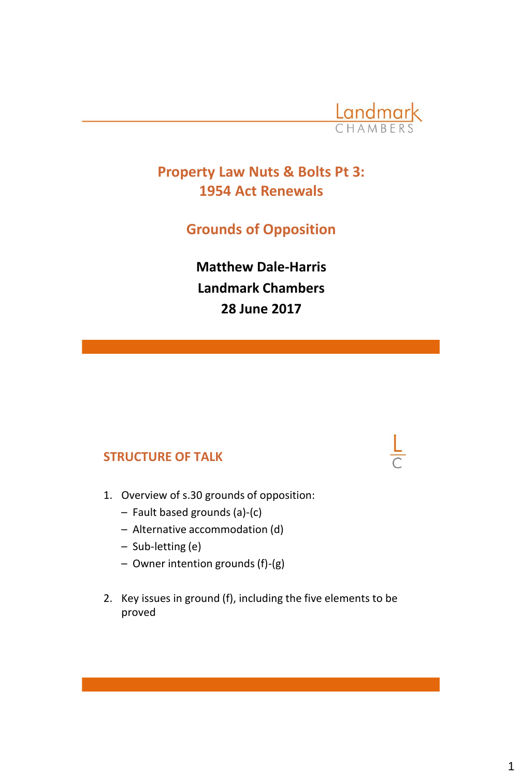

## **Property Law Nuts & Bolts Pt 3: 1954 Act Renewals**

**Grounds of Opposition**

**Matthew Dale-Harris Landmark Chambers 28 June 2017**

#### **STRUCTURE OF TALK**

- 1. Overview of s.30 grounds of opposition:
	- Fault based grounds (a)-(c)
	- Alternative accommodation (d)
	- Sub-letting (e)
	- Owner intention grounds (f)-(g)
- 2. Key issues in ground (f), including the five elements to be proved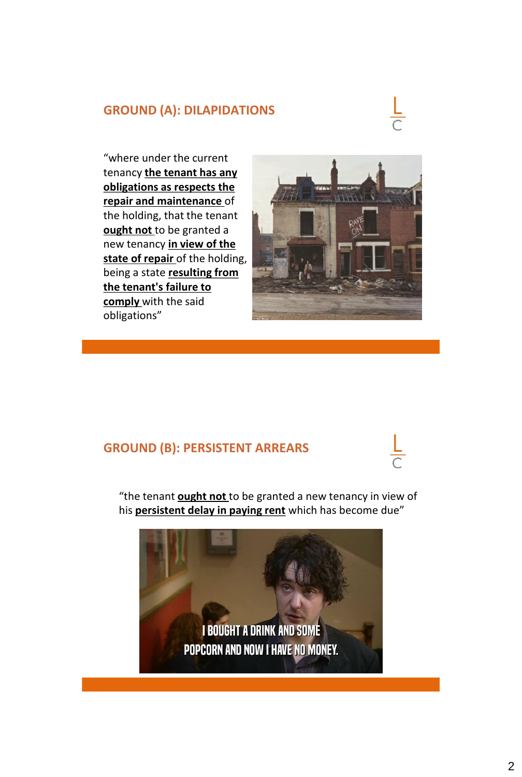#### **GROUND (A): DILAPIDATIONS**



"where under the current tenancy **the tenant has any obligations as respects the repair and maintenance** of the holding, that the tenant **ought not** to be granted a new tenancy **in view of the state of repair** of the holding, being a state **resulting from the tenant's failure to comply** with the said obligations"



#### **GROUND (B): PERSISTENT ARREARS**



"the tenant **ought not** to be granted a new tenancy in view of his **persistent delay in paying rent** which has become due"

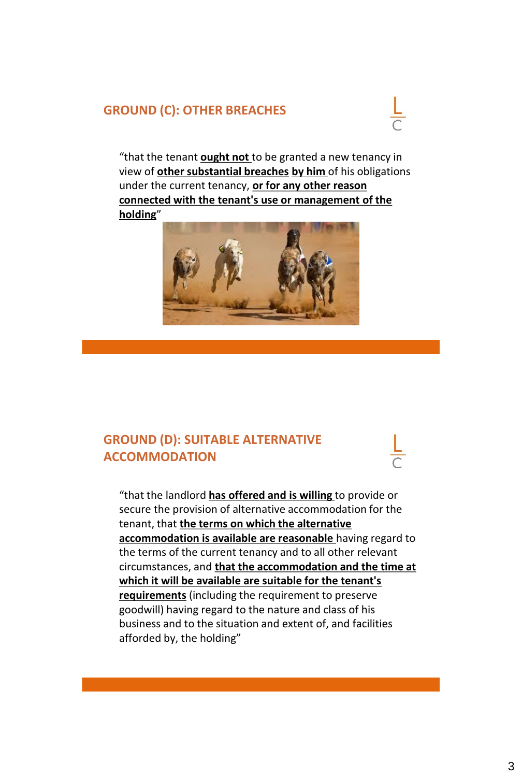#### **GROUND (C): OTHER BREACHES**



"that the tenant **ought not** to be granted a new tenancy in view of **other substantial breaches by him** of his obligations under the current tenancy, **or for any other reason connected with the tenant's use or management of the holding**"



### **GROUND (D): SUITABLE ALTERNATIVE ACCOMMODATION**

"that the landlord **has offered and is willing** to provide or secure the provision of alternative accommodation for the tenant, that **the terms on which the alternative accommodation is available are reasonable** having regard to the terms of the current tenancy and to all other relevant circumstances, and **that the accommodation and the time at which it will be available are suitable for the tenant's requirements** (including the requirement to preserve goodwill) having regard to the nature and class of his business and to the situation and extent of, and facilities afforded by, the holding"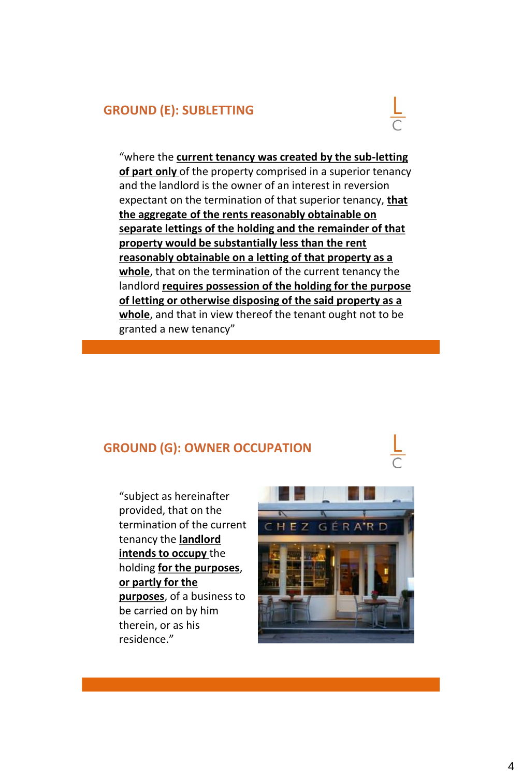#### **GROUND (E): SUBLETTING**



"where the **current tenancy was created by the sub-letting of part only** of the property comprised in a superior tenancy and the landlord is the owner of an interest in reversion expectant on the termination of that superior tenancy, **that the aggregate of the rents reasonably obtainable on separate lettings of the holding and the remainder of that property would be substantially less than the rent reasonably obtainable on a letting of that property as a whole**, that on the termination of the current tenancy the landlord **requires possession of the holding for the purpose of letting or otherwise disposing of the said property as a whole**, and that in view thereof the tenant ought not to be granted a new tenancy"

#### **GROUND (G): OWNER OCCUPATION**

"subject as hereinafter provided, that on the termination of the current tenancy the **landlord intends to occupy** the holding **for the purposes**, **or partly for the purposes**, of a business to be carried on by him therein, or as his residence."

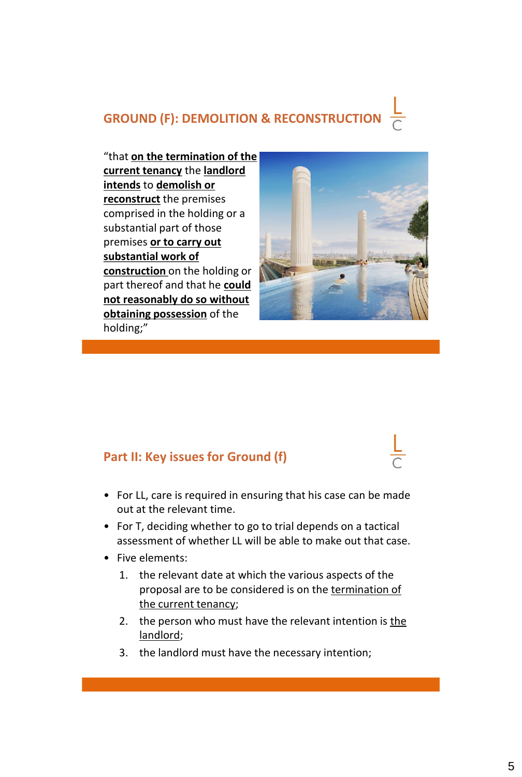# **GROUND (F): DEMOLITION & RECONSTRUCTION**

"that **on the termination of the current tenancy** the **landlord intends** to **demolish or reconstruct** the premises comprised in the holding or a substantial part of those premises **or to carry out substantial work of construction** on the holding or part thereof and that he **could not reasonably do so without obtaining possession** of the holding;"



#### **Part II: Key issues for Ground (f)**

- For LL, care is required in ensuring that his case can be made out at the relevant time.
- For T, deciding whether to go to trial depends on a tactical assessment of whether LL will be able to make out that case.
- Five elements:
	- 1. the relevant date at which the various aspects of the proposal are to be considered is on the termination of the current tenancy;
	- 2. the person who must have the relevant intention is the landlord;
	- 3. the landlord must have the necessary intention;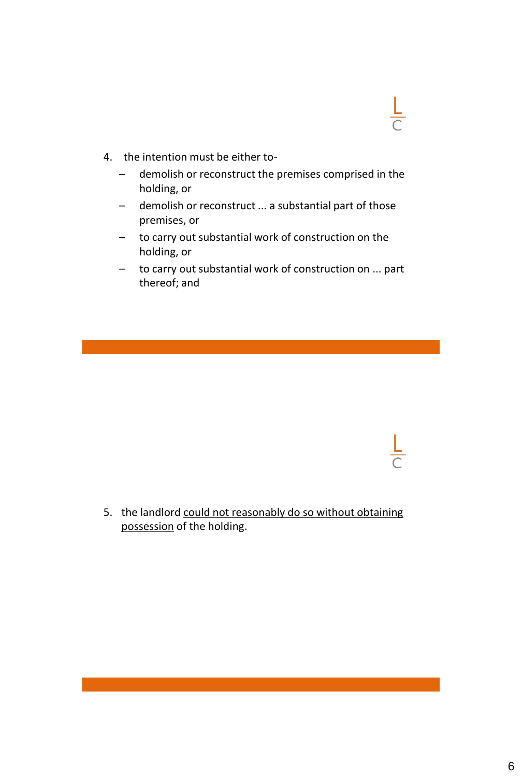

- 4. the intention must be either to-
	- demolish or reconstruct the premises comprised in the holding, or
	- demolish or reconstruct ... a substantial part of those premises, or
	- to carry out substantial work of construction on the holding, or
	- to carry out substantial work of construction on ... part thereof; and

5. the landlord could not reasonably do so without obtaining possession of the holding.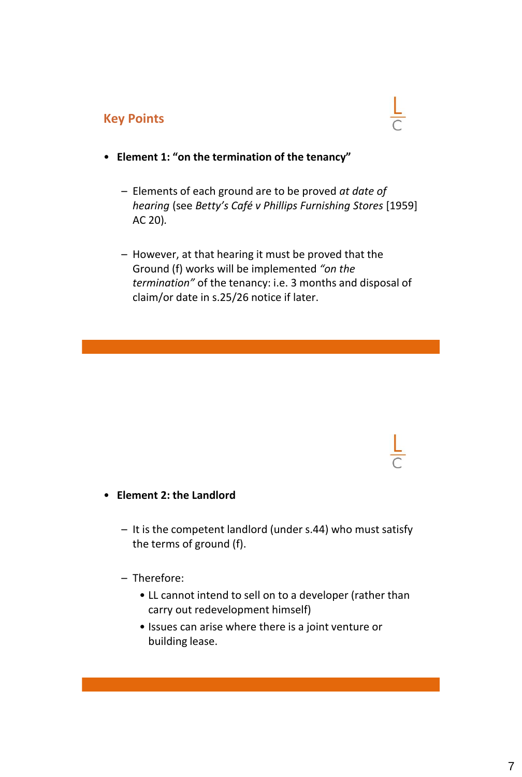#### **Key Points**



- **Element 1: "on the termination of the tenancy"**
	- Elements of each ground are to be proved *at date of hearing* (see *Betty's Café v Phillips Furnishing Stores* [1959] AC 20)*.*
	- However, at that hearing it must be proved that the Ground (f) works will be implemented *"on the termination"* of the tenancy: i.e. 3 months and disposal of claim/or date in s.25/26 notice if later.

#### • **Element 2: the Landlord**

– It is the competent landlord (under s.44) who must satisfy the terms of ground (f).

#### – Therefore:

- LL cannot intend to sell on to a developer (rather than carry out redevelopment himself)
- Issues can arise where there is a joint venture or building lease.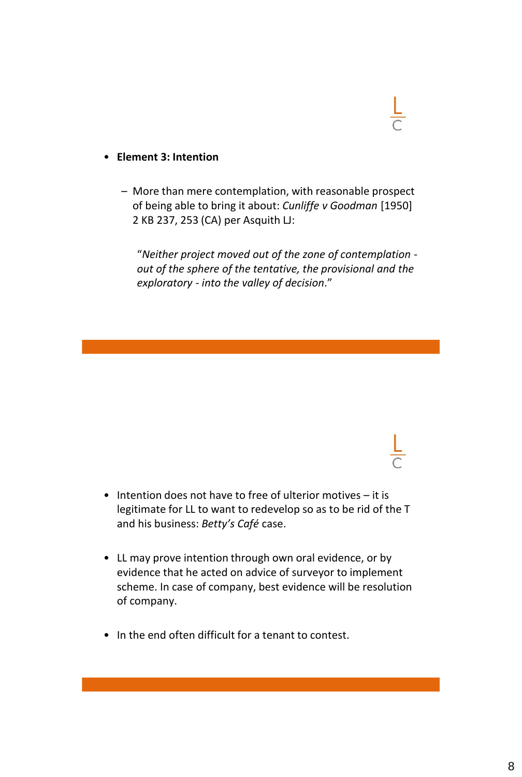#### • **Element 3: Intention**

– More than mere contemplation, with reasonable prospect of being able to bring it about: *Cunliffe v Goodman* [1950] 2 KB 237, 253 (CA) per Asquith LJ:

"*Neither project moved out of the zone of contemplation out of the sphere of the tentative, the provisional and the exploratory - into the valley of decision*."

- Intention does not have to free of ulterior motives it is legitimate for LL to want to redevelop so as to be rid of the T and his business: *Betty's Café* case.
- LL may prove intention through own oral evidence, or by evidence that he acted on advice of surveyor to implement scheme. In case of company, best evidence will be resolution of company.
- In the end often difficult for a tenant to contest.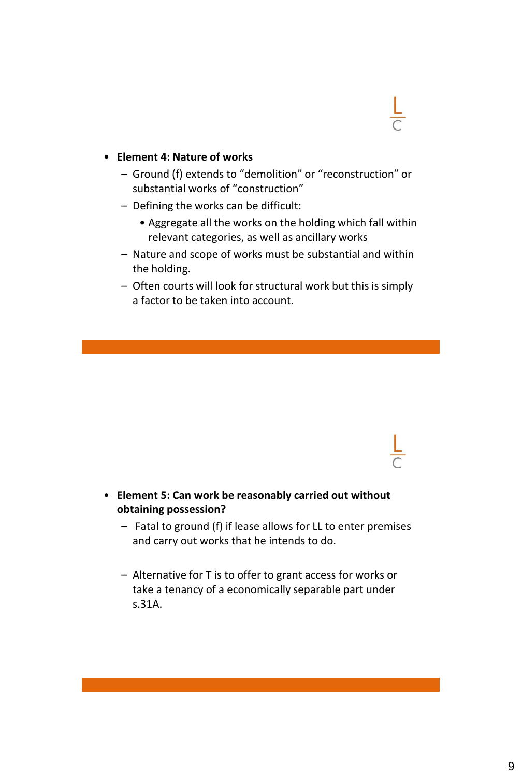

#### • **Element 4: Nature of works**

- Ground (f) extends to "demolition" or "reconstruction" or substantial works of "construction"
- Defining the works can be difficult:
	- Aggregate all the works on the holding which fall within relevant categories, as well as ancillary works
- Nature and scope of works must be substantial and within the holding.
- Often courts will look for structural work but this is simply a factor to be taken into account.

- **Element 5: Can work be reasonably carried out without obtaining possession?**
	- Fatal to ground (f) if lease allows for LL to enter premises and carry out works that he intends to do.
	- Alternative for T is to offer to grant access for works or take a tenancy of a economically separable part under s.31A.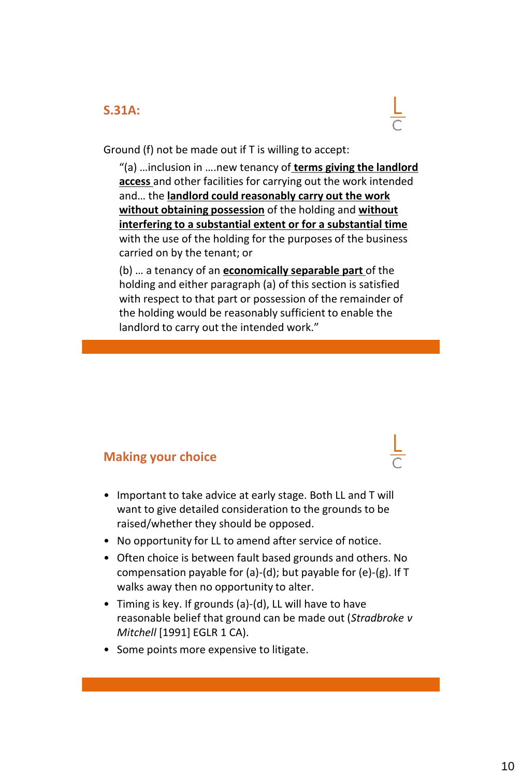#### **S.31A:**



Ground (f) not be made out if T is willing to accept:

"(a) …inclusion in ….new tenancy of **terms giving the landlord access** and other facilities for carrying out the work intended and… the **landlord could reasonably carry out the work without obtaining possession** of the holding and **without interfering to a substantial extent or for a substantial time**  with the use of the holding for the purposes of the business carried on by the tenant; or

(b) … a tenancy of an **economically separable part** of the holding and either paragraph (a) of this section is satisfied with respect to that part or possession of the remainder of the holding would be reasonably sufficient to enable the landlord to carry out the intended work."

#### **Making your choice**

- Important to take advice at early stage. Both LL and T will want to give detailed consideration to the grounds to be raised/whether they should be opposed.
- No opportunity for LL to amend after service of notice.
- Often choice is between fault based grounds and others. No compensation payable for (a)-(d); but payable for (e)-(g). If T walks away then no opportunity to alter.
- Timing is key. If grounds (a)-(d), LL will have to have reasonable belief that ground can be made out (*Stradbroke v Mitchell* [1991] EGLR 1 CA).
- Some points more expensive to litigate.